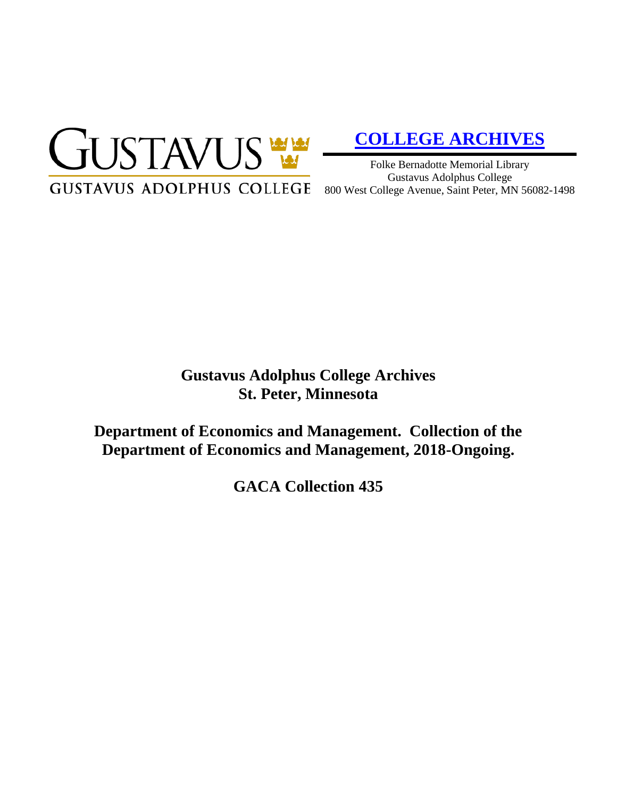

# **[COLLEGE ARCHIVES](http://gustavus.edu/academics/library/archives/)**

Folke Bernadotte Memorial Library Gustavus Adolphus College 800 West College Avenue, Saint Peter, MN 56082-1498

# **Gustavus Adolphus College Archives St. Peter, Minnesota**

**Department of Economics and Management. Collection of the Department of Economics and Management, 2018-Ongoing.**

**GACA Collection 435**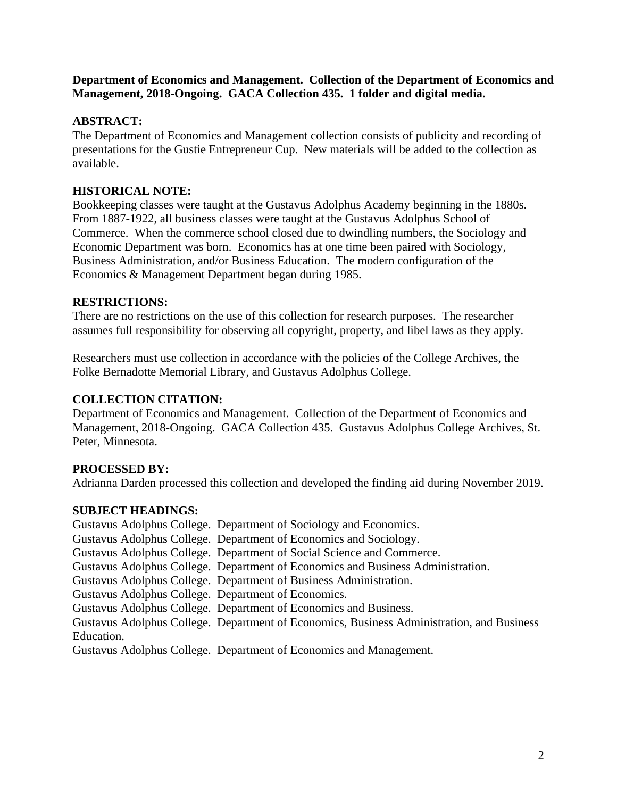### **Department of Economics and Management. Collection of the Department of Economics and Management, 2018-Ongoing. GACA Collection 435. 1 folder and digital media.**

# **ABSTRACT:**

The Department of Economics and Management collection consists of publicity and recording of presentations for the Gustie Entrepreneur Cup. New materials will be added to the collection as available.

### **HISTORICAL NOTE:**

Bookkeeping classes were taught at the Gustavus Adolphus Academy beginning in the 1880s. From 1887-1922, all business classes were taught at the Gustavus Adolphus School of Commerce. When the commerce school closed due to dwindling numbers, the Sociology and Economic Department was born. Economics has at one time been paired with Sociology, Business Administration, and/or Business Education. The modern configuration of the Economics & Management Department began during 1985.

#### **RESTRICTIONS:**

There are no restrictions on the use of this collection for research purposes. The researcher assumes full responsibility for observing all copyright, property, and libel laws as they apply.

Researchers must use collection in accordance with the policies of the College Archives, the Folke Bernadotte Memorial Library, and Gustavus Adolphus College.

#### **COLLECTION CITATION:**

Department of Economics and Management. Collection of the Department of Economics and Management, 2018-Ongoing. GACA Collection 435. Gustavus Adolphus College Archives, St. Peter, Minnesota.

# **PROCESSED BY:**

Adrianna Darden processed this collection and developed the finding aid during November 2019.

#### **SUBJECT HEADINGS:**

Gustavus Adolphus College. Department of Sociology and Economics. Gustavus Adolphus College. Department of Economics and Sociology. Gustavus Adolphus College. Department of Social Science and Commerce. Gustavus Adolphus College. Department of Economics and Business Administration. Gustavus Adolphus College. Department of Business Administration. Gustavus Adolphus College. Department of Economics. Gustavus Adolphus College. Department of Economics and Business. Gustavus Adolphus College. Department of Economics, Business Administration, and Business Education. Gustavus Adolphus College. Department of Economics and Management.